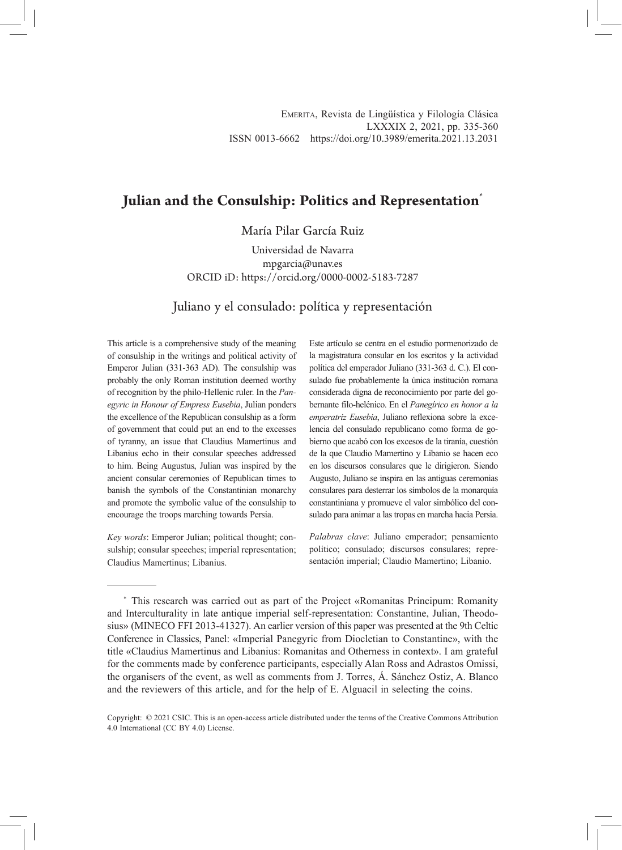# **Julian and the Consulship: Politics and Representation**\*

María Pilar García Ruiz

Universidad de Navarra mpgarcia@unav.es ORCID iD: https://orcid.org/0000-0002-5183-7287

Juliano y el consulado: política y representación

This article is a comprehensive study of the meaning of consulship in the writings and political activity of Emperor Julian (331-363 AD). The consulship was probably the only Roman institution deemed worthy of recognition by the philo-Hellenic ruler. In the *Panegyric in Honour of Empress Eusebia*, Julian ponders the excellence of the Republican consulship as a form of government that could put an end to the excesses of tyranny, an issue that Claudius Mamertinus and Libanius echo in their consular speeches addressed to him. Being Augustus, Julian was inspired by the ancient consular ceremonies of Republican times to banish the symbols of the Constantinian monarchy and promote the symbolic value of the consulship to encourage the troops marching towards Persia.

*Key words*: Emperor Julian; political thought; consulship; consular speeches; imperial representation; Claudius Mamertinus; Libanius.

Este artículo se centra en el estudio pormenorizado de la magistratura consular en los escritos y la actividad política del emperador Juliano (331-363 d. C.). El consulado fue probablemente la única institución romana considerada digna de reconocimiento por parte del gobernante filo-helénico. En el *Panegírico en honor a la emperatriz Eusebia*, Juliano reflexiona sobre la excelencia del consulado republicano como forma de gobierno que acabó con los excesos de la tiranía, cuestión de la que Claudio Mamertino y Libanio se hacen eco en los discursos consulares que le dirigieron. Siendo Augusto, Juliano se inspira en las antiguas ceremonias consulares para desterrar los símbolos de la monarquía constantiniana y promueve el valor simbólico del consulado para animar a las tropas en marcha hacia Persia.

*Palabras clave*: Juliano emperador; pensamiento político; consulado; discursos consulares; representación imperial; Claudio Mamertino; Libanio.

<sup>\*</sup> This research was carried out as part of the Project «Romanitas Principum: Romanity and Interculturality in late antique imperial self-representation: Constantine, Julian, Theodosius» (MINECO FFI 2013-41327). An earlier version of this paper was presented at the 9th Celtic Conference in Classics, Panel: «Imperial Panegyric from Diocletian to Constantine», with the title «Claudius Mamertinus and Libanius: Romanitas and Otherness in context». I am grateful for the comments made by conference participants, especially Alan Ross and Adrastos Omissi, the organisers of the event, as well as comments from J. Torres, Á. Sánchez Ostiz, A. Blanco and the reviewers of this article, and for the help of E. Alguacil in selecting the coins.

Copyright: © 2021 CSIC. This is an open-access article distributed under the terms of the Creative Commons Attribution 4.0 International (CC BY 4.0) License.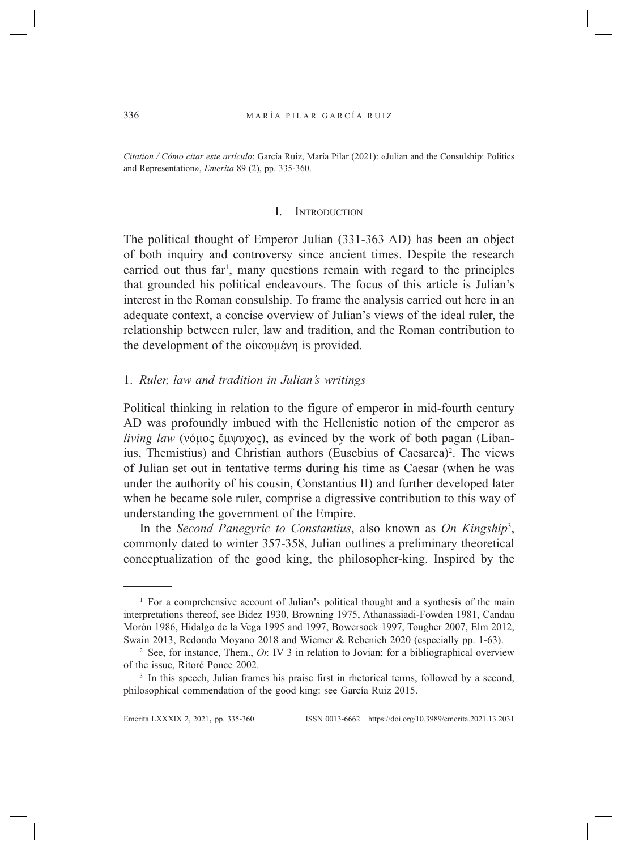*Citation / Cómo citar este artículo*: García Ruiz, María Pilar (2021): «Julian and the Consulship: Politics and Representation», *Emerita* 89 (2), pp. 335-360.

### I. Introduction

The political thought of Emperor Julian (331-363 AD) has been an object of both inquiry and controversy since ancient times. Despite the research carried out thus far<sup>1</sup>, many questions remain with regard to the principles that grounded his political endeavours. The focus of this article is Julian's interest in the Roman consulship. To frame the analysis carried out here in an adequate context, a concise overview of Julian's views of the ideal ruler, the relationship between ruler, law and tradition, and the Roman contribution to the development of the οἰκουμένη is provided.

## 1. *Ruler, law and tradition in Julian's writings*

Political thinking in relation to the figure of emperor in mid-fourth century AD was profoundly imbued with the Hellenistic notion of the emperor as *living law* (νόμος ἔμψυχος), as evinced by the work of both pagan (Libanius, Themistius) and Christian authors (Eusebius of Caesarea)<sup>2</sup>. The views of Julian set out in tentative terms during his time as Caesar (when he was under the authority of his cousin, Constantius II) and further developed later when he became sole ruler, comprise a digressive contribution to this way of understanding the government of the Empire.

In the *Second Panegyric to Constantius*, also known as *On Kingship*<sup>3</sup> , commonly dated to winter 357-358, Julian outlines a preliminary theoretical conceptualization of the good king, the philosopher-king. Inspired by the

<sup>&</sup>lt;sup>1</sup> For a comprehensive account of Julian's political thought and a synthesis of the main interpretations thereof, see Bidez 1930, Browning 1975, Athanassiadi-Fowden 1981, Candau Morón 1986, Hidalgo de la Vega 1995 and 1997, Bowersock 1997, Tougher 2007, Elm 2012, Swain 2013, Redondo Moyano 2018 and Wiemer & Rebenich 2020 (especially pp. 1-63).

<sup>2</sup> See, for instance, Them., *Or.* IV 3 in relation to Jovian; for a bibliographical overview of the issue, Ritoré Ponce 2002.

<sup>&</sup>lt;sup>3</sup> In this speech, Julian frames his praise first in rhetorical terms, followed by a second, philosophical commendation of the good king: see García Ruiz 2015.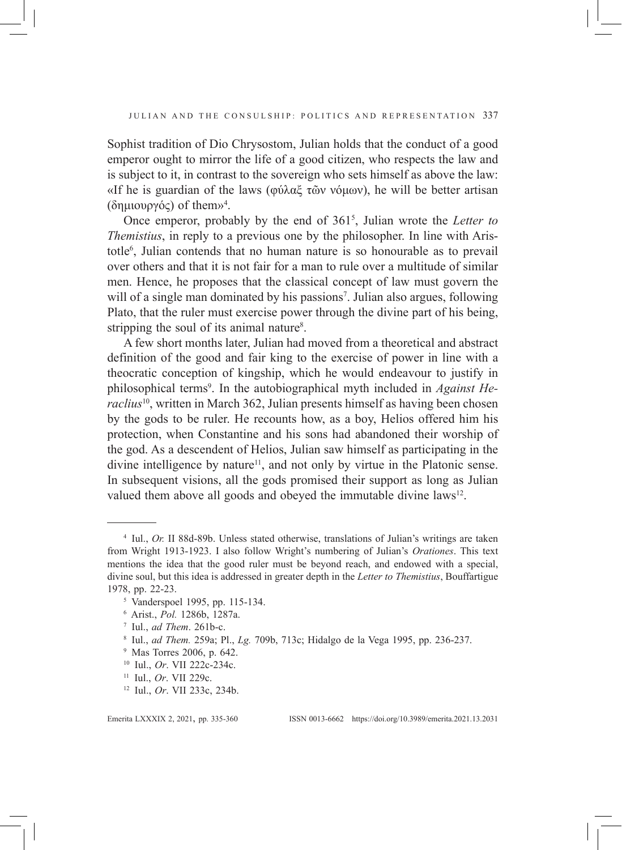Sophist tradition of Dio Chrysostom, Julian holds that the conduct of a good emperor ought to mirror the life of a good citizen, who respects the law and is subject to it, in contrast to the sovereign who sets himself as above the law: «If he is guardian of the laws (φύλαξ τῶν νόμων), he will be better artisan (δημιουργός) of them»<sup>4</sup> .

Once emperor, probably by the end of 3615 , Julian wrote the *Letter to Themistius*, in reply to a previous one by the philosopher. In line with Aristotle6 , Julian contends that no human nature is so honourable as to prevail over others and that it is not fair for a man to rule over a multitude of similar men. Hence, he proposes that the classical concept of law must govern the will of a single man dominated by his passions<sup>7</sup>. Julian also argues, following Plato, that the ruler must exercise power through the divine part of his being, stripping the soul of its animal nature<sup>8</sup>.

A few short months later, Julian had moved from a theoretical and abstract definition of the good and fair king to the exercise of power in line with a theocratic conception of kingship, which he would endeavour to justify in philosophical terms<sup>9</sup>. In the autobiographical myth included in *Against Heraclius*<sup>10</sup>, written in March 362, Julian presents himself as having been chosen by the gods to be ruler. He recounts how, as a boy, Helios offered him his protection, when Constantine and his sons had abandoned their worship of the god. As a descendent of Helios, Julian saw himself as participating in the divine intelligence by nature<sup>11</sup>, and not only by virtue in the Platonic sense. In subsequent visions, all the gods promised their support as long as Julian valued them above all goods and obeyed the immutable divine laws<sup>12</sup>.

<sup>4</sup> Iul., *Or.* II 88d-89b. Unless stated otherwise, translations of Julian's writings are taken from Wright 1913-1923. I also follow Wright's numbering of Julian's *Orationes*. This text mentions the idea that the good ruler must be beyond reach, and endowed with a special, divine soul, but this idea is addressed in greater depth in the *Letter to Themistius*, Bouffartigue 1978, pp. 22-23.

<sup>5</sup> Vanderspoel 1995, pp. 115-134.

<sup>6</sup> Arist., *Pol.* 1286b, 1287a.

<sup>7</sup> Iul., *ad Them*. 261b-c.

<sup>8</sup> Iul., *ad Them.* 259a; Pl., *Lg.* 709b, 713c; Hidalgo de la Vega 1995, pp. 236-237.

<sup>9</sup> Mas Torres 2006, p. 642.

<sup>10</sup> Iul., *Or*. VII 222c-234c.

<sup>11</sup> Iul., *Or*. VII 229c.

<sup>12</sup> Iul., *Or*. VII 233c, 234b.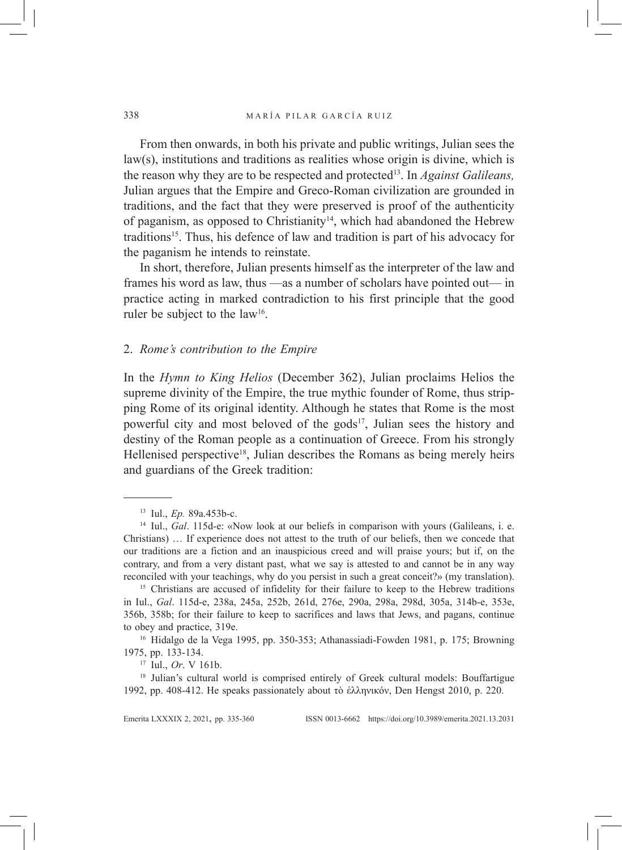From then onwards, in both his private and public writings, Julian sees the law(s), institutions and traditions as realities whose origin is divine, which is the reason why they are to be respected and protected13. In *Against Galileans,*  Julian argues that the Empire and Greco-Roman civilization are grounded in traditions, and the fact that they were preserved is proof of the authenticity of paganism, as opposed to Christianity<sup>14</sup>, which had abandoned the Hebrew traditions<sup>15</sup>. Thus, his defence of law and tradition is part of his advocacy for the paganism he intends to reinstate.

In short, therefore, Julian presents himself as the interpreter of the law and frames his word as law, thus —as a number of scholars have pointed out— in practice acting in marked contradiction to his first principle that the good ruler be subject to the law<sup>16</sup>.

### 2. *Rome's contribution to the Empire*

In the *Hymn to King Helios* (December 362), Julian proclaims Helios the supreme divinity of the Empire, the true mythic founder of Rome, thus stripping Rome of its original identity. Although he states that Rome is the most powerful city and most beloved of the gods<sup>17</sup>, Julian sees the history and destiny of the Roman people as a continuation of Greece. From his strongly Hellenised perspective<sup>18</sup>, Julian describes the Romans as being merely heirs and guardians of the Greek tradition:

<sup>13</sup> Iul., *Ep.* 89a.453b-c.

<sup>&</sup>lt;sup>14</sup> Iul., *Gal.* 115d-e: «Now look at our beliefs in comparison with yours (Galileans, i. e. Christians) … If experience does not attest to the truth of our beliefs, then we concede that our traditions are a fiction and an inauspicious creed and will praise yours; but if, on the contrary, and from a very distant past, what we say is attested to and cannot be in any way reconciled with your teachings, why do you persist in such a great conceit?» (my translation).

<sup>&</sup>lt;sup>15</sup> Christians are accused of infidelity for their failure to keep to the Hebrew traditions in Iul., *Gal*. 115d-e, 238a, 245a, 252b, 261d, 276e, 290a, 298a, 298d, 305a, 314b-e, 353e, 356b, 358b; for their failure to keep to sacrifices and laws that Jews, and pagans, continue to obey and practice, 319e.<br><sup>16</sup> Hidalgo de la Vega 1995, pp. 350-353; Athanassiadi-Fowden 1981, p. 175; Browning

<sup>1975,</sup> pp. 133-134.

<sup>17</sup> Iul., *Or*. V 161b.

<sup>&</sup>lt;sup>18</sup> Julian's cultural world is comprised entirely of Greek cultural models: Bouffartigue 1992, pp. 408-412. He speaks passionately about τὸ ἑλληνικόν, Den Hengst 2010, p. 220.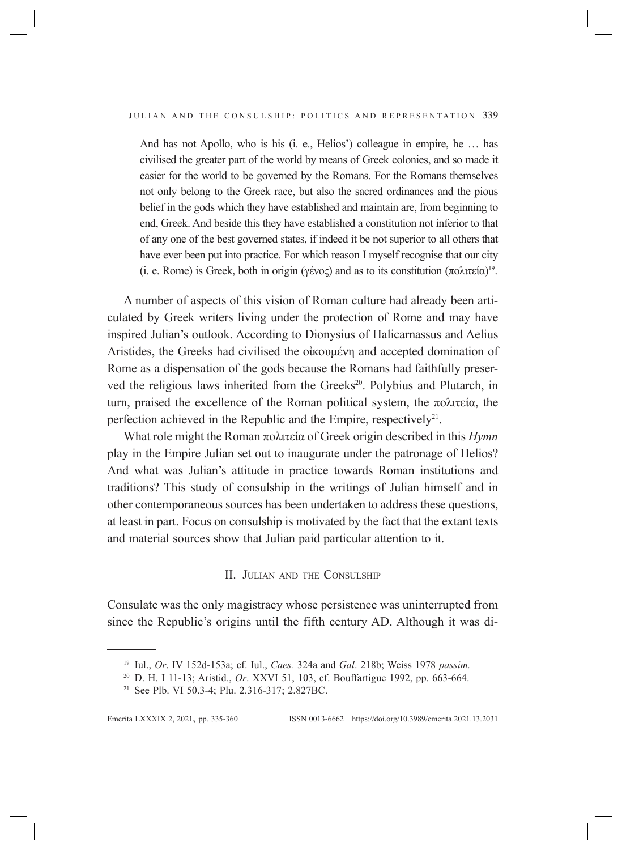And has not Apollo, who is his (i. e., Helios') colleague in empire, he … has civilised the greater part of the world by means of Greek colonies, and so made it easier for the world to be governed by the Romans. For the Romans themselves not only belong to the Greek race, but also the sacred ordinances and the pious belief in the gods which they have established and maintain are, from beginning to end, Greek. And beside this they have established a constitution not inferior to that of any one of the best governed states, if indeed it be not superior to all others that have ever been put into practice. For which reason I myself recognise that our city (i. e. Rome) is Greek, both in origin (γένος) and as to its constitution  $(πολιτεία)<sup>19</sup>$ .

A number of aspects of this vision of Roman culture had already been articulated by Greek writers living under the protection of Rome and may have inspired Julian's outlook. According to Dionysius of Halicarnassus and Aelius Aristides, the Greeks had civilised the οἰκουμένη and accepted domination of Rome as a dispensation of the gods because the Romans had faithfully preserved the religious laws inherited from the Greeks<sup>20</sup>. Polybius and Plutarch, in turn, praised the excellence of the Roman political system, the πολιτεία, the perfection achieved in the Republic and the Empire, respectively<sup>21</sup>.

What role might the Roman πολιτεία of Greek origin described in this *Hymn* play in the Empire Julian set out to inaugurate under the patronage of Helios? And what was Julian's attitude in practice towards Roman institutions and traditions? This study of consulship in the writings of Julian himself and in other contemporaneous sources has been undertaken to address these questions, at least in part. Focus on consulship is motivated by the fact that the extant texts and material sources show that Julian paid particular attention to it.

### II. JULIAN AND THE CONSULSHIP

Consulate was the only magistracy whose persistence was uninterrupted from since the Republic's origins until the fifth century AD. Although it was di-

<sup>19</sup> Iul., *Or*. IV 152d-153a; cf. Iul., *Caes.* 324a and *Gal*. 218b; Weiss 1978 *passim.*

<sup>20</sup> D. H. I 11-13; Aristid., *Or*. XXVI 51, 103, cf. Bouffartigue 1992, pp. 663-664.

<sup>21</sup> See Plb. VI 50.3-4; Plu. 2.316-317; 2.827BC.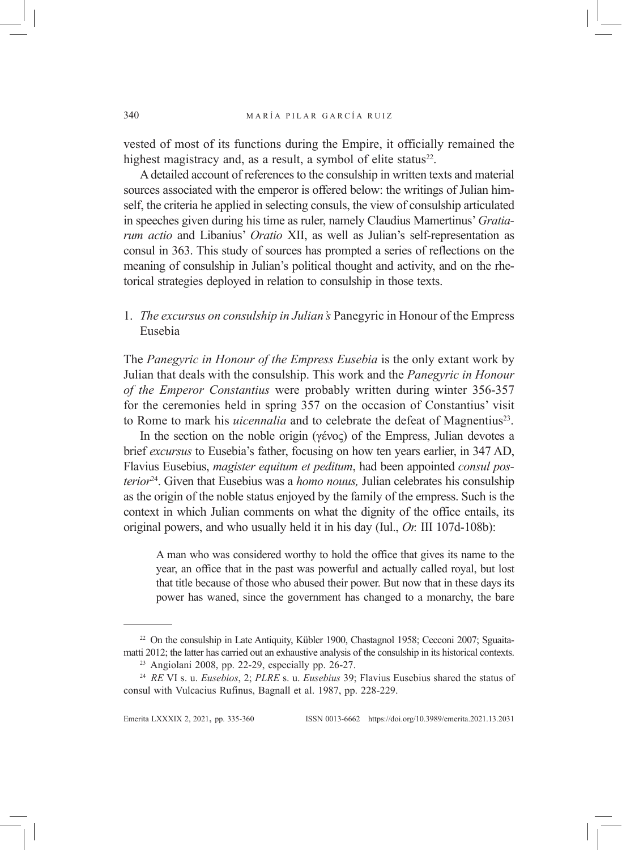vested of most of its functions during the Empire, it officially remained the highest magistracy and, as a result, a symbol of elite status $22$ .

A detailed account of references to the consulship in written texts and material sources associated with the emperor is offered below: the writings of Julian himself, the criteria he applied in selecting consuls, the view of consulship articulated in speeches given during his time as ruler, namely Claudius Mamertinus' *Gratiarum actio* and Libanius' *Oratio* XII, as well as Julian's self-representation as consul in 363. This study of sources has prompted a series of reflections on the meaning of consulship in Julian's political thought and activity, and on the rhetorical strategies deployed in relation to consulship in those texts.

1. *The excursus on consulship in Julian's* Panegyric in Honour of the Empress Eusebia

The *Panegyric in Honour of the Empress Eusebia* is the only extant work by Julian that deals with the consulship. This work and the *Panegyric in Honour of the Emperor Constantius* were probably written during winter 356-357 for the ceremonies held in spring 357 on the occasion of Constantius' visit to Rome to mark his *uicennalia* and to celebrate the defeat of Magnentius<sup>23</sup>.

In the section on the noble origin (γένος) of the Empress, Julian devotes a brief *excursus* to Eusebia's father, focusing on how ten years earlier, in 347 AD, Flavius Eusebius, *magister equitum et peditum*, had been appointed *consul posterior*24. Given that Eusebius was a *homo nouus,* Julian celebrates his consulship as the origin of the noble status enjoyed by the family of the empress. Such is the context in which Julian comments on what the dignity of the office entails, its original powers, and who usually held it in his day (Iul., *Or.* III 107d-108b):

A man who was considered worthy to hold the office that gives its name to the year, an office that in the past was powerful and actually called royal, but lost that title because of those who abused their power. But now that in these days its power has waned, since the government has changed to a monarchy, the bare

<sup>&</sup>lt;sup>22</sup> On the consulship in Late Antiquity, Kübler 1900, Chastagnol 1958; Cecconi 2007; Sguaitamatti 2012; the latter has carried out an exhaustive analysis of the consulship in its historical contexts.

<sup>23</sup> Angiolani 2008, pp. 22-29, especially pp. 26-27.

<sup>24</sup> *RE* VI s. u. *Eusebios*, 2; *PLRE* s. u. *Eusebius* 39; Flavius Eusebius shared the status of consul with Vulcacius Rufinus, Bagnall et al. 1987, pp. 228-229.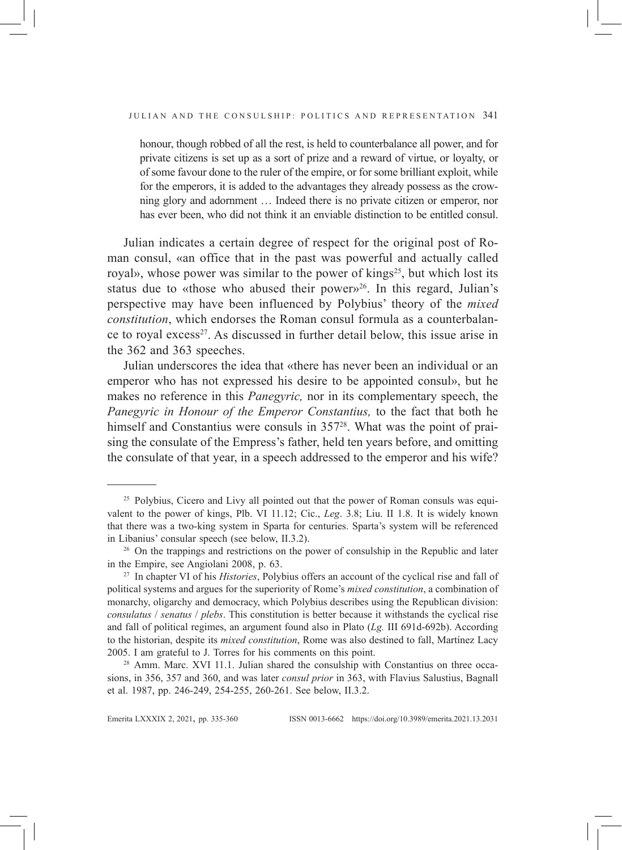honour, though robbed of all the rest, is held to counterbalance all power, and for private citizens is set up as a sort of prize and a reward of virtue, or loyalty, or of some favour done to the ruler of the empire, or for some brilliant exploit, while for the emperors, it is added to the advantages they already possess as the crowning glory and adornment … Indeed there is no private citizen or emperor, nor has ever been, who did not think it an enviable distinction to be entitled consul.

Julian indicates a certain degree of respect for the original post of Roman consul, «an office that in the past was powerful and actually called royal», whose power was similar to the power of kings<sup>25</sup>, but which lost its status due to «those who abused their power»<sup>26</sup>. In this regard, Julian's perspective may have been influenced by Polybius' theory of the *mixed constitution*, which endorses the Roman consul formula as a counterbalance to royal excess<sup>27</sup>. As discussed in further detail below, this issue arise in the 362 and 363 speeches.

Julian underscores the idea that «there has never been an individual or an emperor who has not expressed his desire to be appointed consul», but he makes no reference in this *Panegyric,* nor in its complementary speech, the *Panegyric in Honour of the Emperor Constantius,* to the fact that both he himself and Constantius were consuls in 357<sup>28</sup>. What was the point of praising the consulate of the Empress's father, held ten years before, and omitting the consulate of that year, in a speech addressed to the emperor and his wife?

<sup>&</sup>lt;sup>25</sup> Polybius, Cicero and Livy all pointed out that the power of Roman consuls was equivalent to the power of kings, Plb. VI 11.12; Cic., *Leg*. 3.8; Liu. II 1.8. It is widely known that there was a two-king system in Sparta for centuries. Sparta's system will be referenced in Libanius' consular speech (see below, II.3.2).

<sup>&</sup>lt;sup>26</sup> On the trappings and restrictions on the power of consulship in the Republic and later in the Empire, see Angiolani 2008, p. 63.

<sup>27</sup> In chapter VI of his *Histories*, Polybius offers an account of the cyclical rise and fall of political systems and argues for the superiority of Rome's *mixed constitution*, a combination of monarchy, oligarchy and democracy, which Polybius describes using the Republican division: *consulatus* / *senatus* / *plebs*. This constitution is better because it withstands the cyclical rise and fall of political regimes, an argument found also in Plato (*Lg.* III 691d-692b). According to the historian, despite its *mixed constitution*, Rome was also destined to fall, Martínez Lacy 2005. I am grateful to J. Torres for his comments on this point.

<sup>28</sup> Amm. Marc. XVI 11.1. Julian shared the consulship with Constantius on three occasions, in 356, 357 and 360, and was later *consul prior* in 363, with Flavius Salustius, Bagnall et al. 1987, pp. 246-249, 254-255, 260-261. See below, II.3.2.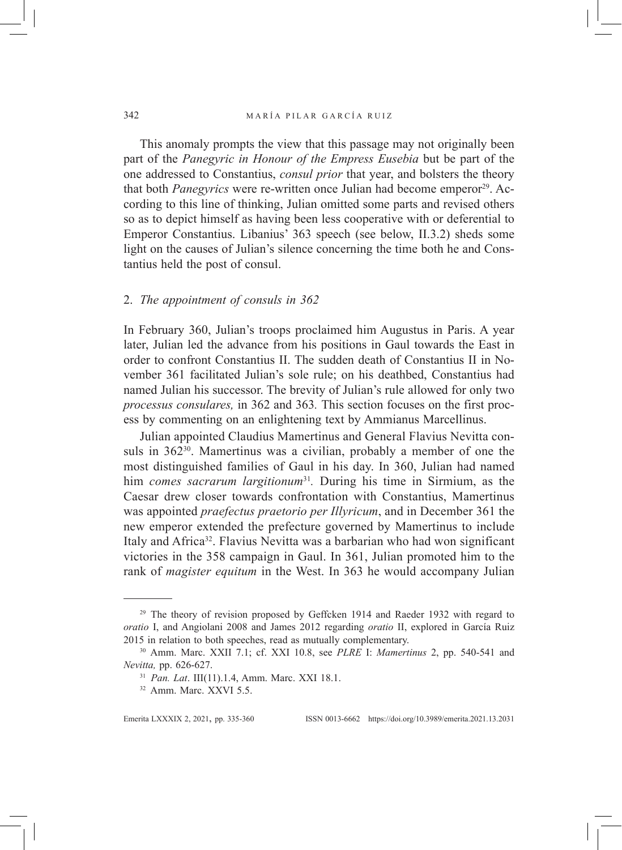This anomaly prompts the view that this passage may not originally been part of the *Panegyric in Honour of the Empress Eusebia* but be part of the one addressed to Constantius, *consul prior* that year, and bolsters the theory that both *Panegyrics* were re-written once Julian had become emperor<sup>29</sup>. According to this line of thinking, Julian omitted some parts and revised others so as to depict himself as having been less cooperative with or deferential to Emperor Constantius. Libanius' 363 speech (see below, II.3.2) sheds some light on the causes of Julian's silence concerning the time both he and Constantius held the post of consul.

### 2. *The appointment of consuls in 362*

In February 360, Julian's troops proclaimed him Augustus in Paris. A year later, Julian led the advance from his positions in Gaul towards the East in order to confront Constantius II. The sudden death of Constantius II in November 361 facilitated Julian's sole rule; on his deathbed, Constantius had named Julian his successor. The brevity of Julian's rule allowed for only two *processus consulares,* in 362 and 363*.* This section focuses on the first process by commenting on an enlightening text by Ammianus Marcellinus.

Julian appointed Claudius Mamertinus and General Flavius Nevitta consuls in  $362^{30}$ . Mamertinus was a civilian, probably a member of one the most distinguished families of Gaul in his day. In 360, Julian had named him *comes sacrarum largitionum*<sup>31</sup>*.* During his time in Sirmium, as the Caesar drew closer towards confrontation with Constantius, Mamertinus was appointed *praefectus praetorio per Illyricum*, and in December 361 the new emperor extended the prefecture governed by Mamertinus to include Italy and Africa<sup>32</sup>. Flavius Nevitta was a barbarian who had won significant victories in the 358 campaign in Gaul. In 361, Julian promoted him to the rank of *magister equitum* in the West. In 363 he would accompany Julian

<sup>&</sup>lt;sup>29</sup> The theory of revision proposed by Geffcken 1914 and Raeder 1932 with regard to *oratio* I, and Angiolani 2008 and James 2012 regarding *oratio* II, explored in García Ruiz 2015 in relation to both speeches, read as mutually complementary.

<sup>30</sup> Amm. Marc. XXII 7.1; cf. XXI 10.8, see *PLRE* I: *Mamertinus* 2, pp. 540-541 and *Nevitta,* pp. 626-627.

<sup>31</sup> *Pan. Lat*. III(11).1.4, Amm. Marc. XXI 18.1.

<sup>32</sup> Amm. Marc. XXVI 5.5.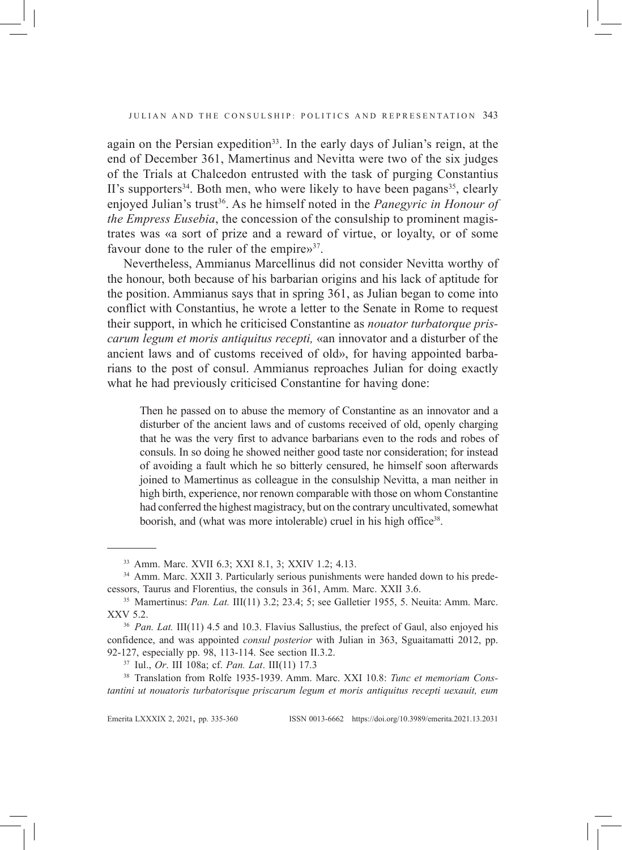again on the Persian expedition<sup>33</sup>. In the early days of Julian's reign, at the end of December 361, Mamertinus and Nevitta were two of the six judges of the Trials at Chalcedon entrusted with the task of purging Constantius II's supporters<sup>34</sup>. Both men, who were likely to have been pagans<sup>35</sup>, clearly enjoyed Julian's trust<sup>36</sup>. As he himself noted in the *Panegyric in Honour of the Empress Eusebia*, the concession of the consulship to prominent magistrates was «a sort of prize and a reward of virtue, or loyalty, or of some favour done to the ruler of the empire»<sup>37</sup>.

Nevertheless, Ammianus Marcellinus did not consider Nevitta worthy of the honour, both because of his barbarian origins and his lack of aptitude for the position. Ammianus says that in spring 361, as Julian began to come into conflict with Constantius, he wrote a letter to the Senate in Rome to request their support, in which he criticised Constantine as *nouator turbatorque priscarum legum et moris antiquitus recepti,* «an innovator and a disturber of the ancient laws and of customs received of old», for having appointed barbarians to the post of consul. Ammianus reproaches Julian for doing exactly what he had previously criticised Constantine for having done:

Then he passed on to abuse the memory of Constantine as an innovator and a disturber of the ancient laws and of customs received of old, openly charging that he was the very first to advance barbarians even to the rods and robes of consuls. In so doing he showed neither good taste nor consideration; for instead of avoiding a fault which he so bitterly censured, he himself soon afterwards joined to Mamertinus as colleague in the consulship Nevitta, a man neither in high birth, experience, nor renown comparable with those on whom Constantine had conferred the highest magistracy, but on the contrary uncultivated, somewhat boorish, and (what was more intolerable) cruel in his high office<sup>38</sup>.

<sup>33</sup> Amm. Marc. XVII 6.3; XXI 8.1, 3; XXIV 1.2; 4.13.

<sup>&</sup>lt;sup>34</sup> Amm. Marc. XXII 3. Particularly serious punishments were handed down to his predecessors, Taurus and Florentius, the consuls in 361, Amm. Marc. XXII 3.6.

<sup>35</sup> Mamertinus: *Pan. Lat.* III(11) 3.2; 23.4; 5; see Galletier 1955, 5. Neuita: Amm. Marc. XXV 5.2.

<sup>&</sup>lt;sup>36</sup> *Pan. Lat.* III(11) 4.5 and 10.3. Flavius Sallustius, the prefect of Gaul, also enjoyed his confidence, and was appointed *consul posterior* with Julian in 363, Sguaitamatti 2012, pp. 92-127, especially pp. 98, 113-114. See section II.3.2.

<sup>37</sup> Iul., *Or*. III 108a; cf. *Pan. Lat*. III(11) 17.3

<sup>38</sup> Translation from Rolfe 1935-1939. Amm. Marc. XXI 10.8: *Tunc et memoriam Constantini ut nouatoris turbatorisque priscarum legum et moris antiquitus recepti uexauit, eum*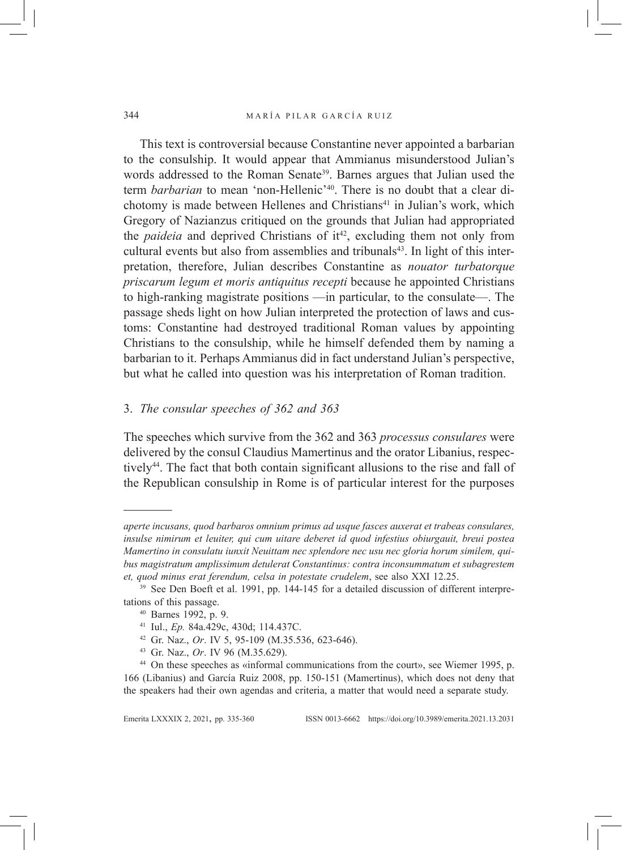This text is controversial because Constantine never appointed a barbarian to the consulship. It would appear that Ammianus misunderstood Julian's words addressed to the Roman Senate<sup>39</sup>. Barnes argues that Julian used the term *barbarian* to mean 'non-Hellenic'40. There is no doubt that a clear dichotomy is made between Hellenes and Christians<sup>41</sup> in Julian's work, which Gregory of Nazianzus critiqued on the grounds that Julian had appropriated the *paideia* and deprived Christians of it<sup>42</sup>, excluding them not only from cultural events but also from assemblies and tribunals<sup>43</sup>. In light of this interpretation, therefore, Julian describes Constantine as *nouator turbatorque priscarum legum et moris antiquitus recepti* because he appointed Christians to high-ranking magistrate positions —in particular, to the consulate—. The passage sheds light on how Julian interpreted the protection of laws and customs: Constantine had destroyed traditional Roman values by appointing Christians to the consulship, while he himself defended them by naming a barbarian to it. Perhaps Ammianus did in fact understand Julian's perspective, but what he called into question was his interpretation of Roman tradition.

## 3. *The consular speeches of 362 and 363*

The speeches which survive from the 362 and 363 *processus consulares* were delivered by the consul Claudius Mamertinus and the orator Libanius, respectively44. The fact that both contain significant allusions to the rise and fall of the Republican consulship in Rome is of particular interest for the purposes

<sup>43</sup> Gr. Naz., *Or*. IV 96 (M.35.629).

*aperte incusans, quod barbaros omnium primus ad usque fasces auxerat et trabeas consulares, insulse nimirum et leuiter, qui cum uitare deberet id quod infestius obiurgauit, breui postea Mamertino in consulatu iunxit Neuittam nec splendore nec usu nec gloria horum similem, quibus magistratum amplissimum detulerat Constantinus: contra inconsummatum et subagrestem et, quod minus erat ferendum, celsa in potestate crudelem*, see also XXI 12.25.

<sup>&</sup>lt;sup>39</sup> See Den Boeft et al. 1991, pp. 144-145 for a detailed discussion of different interpretations of this passage.

<sup>40</sup> Barnes 1992, p. 9.

<sup>41</sup> Iul., *Ep.* 84a.429c, 430d; 114.437C.

<sup>42</sup> Gr. Naz., *Or*. IV 5, 95-109 (M.35.536, 623-646).

<sup>44</sup> On these speeches as «informal communications from the court», see Wiemer 1995, p. 166 (Libanius) and García Ruiz 2008, pp. 150-151 (Mamertinus), which does not deny that the speakers had their own agendas and criteria, a matter that would need a separate study.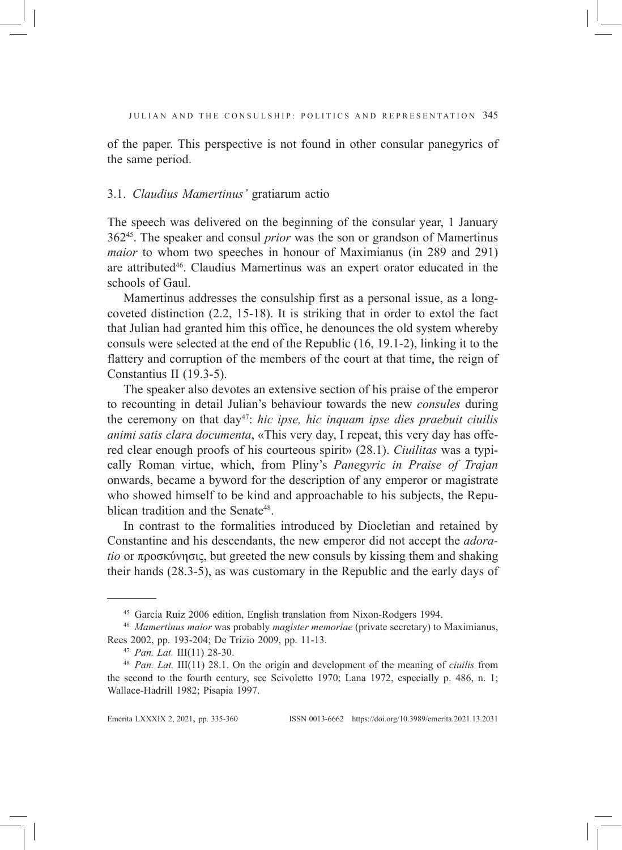of the paper. This perspective is not found in other consular panegyrics of the same period.

### 3.1. *Claudius Mamertinus'* gratiarum actio

The speech was delivered on the beginning of the consular year, 1 January 36245. The speaker and consul *prior* was the son or grandson of Mamertinus *maior* to whom two speeches in honour of Maximianus (in 289 and 291) are attributed<sup>46</sup>. Claudius Mamertinus was an expert orator educated in the schools of Gaul.

Mamertinus addresses the consulship first as a personal issue, as a longcoveted distinction (2.2, 15-18). It is striking that in order to extol the fact that Julian had granted him this office, he denounces the old system whereby consuls were selected at the end of the Republic (16, 19.1-2), linking it to the flattery and corruption of the members of the court at that time, the reign of Constantius II (19.3-5).

The speaker also devotes an extensive section of his praise of the emperor to recounting in detail Julian's behaviour towards the new *consules* during the ceremony on that day<sup>47</sup>: *hic ipse, hic inquam ipse dies praebuit ciuilis animi satis clara documenta*, «This very day, I repeat, this very day has offered clear enough proofs of his courteous spirit» (28.1). *Ciuilitas* was a typically Roman virtue, which, from Pliny's *Panegyric in Praise of Trajan* onwards, became a byword for the description of any emperor or magistrate who showed himself to be kind and approachable to his subjects, the Republican tradition and the Senate<sup>48</sup>.

In contrast to the formalities introduced by Diocletian and retained by Constantine and his descendants, the new emperor did not accept the *adoratio* or προσκύνησις, but greeted the new consuls by kissing them and shaking their hands (28.3-5), as was customary in the Republic and the early days of

<sup>45</sup> García Ruiz 2006 edition, English translation from Nixon-Rodgers 1994.

<sup>46</sup> *Mamertinus maior* was probably *magister memoriae* (private secretary) to Maximianus, Rees 2002, pp. 193-204; De Trizio 2009, pp. 11-13.

<sup>47</sup> *Pan. Lat.* III(11) 28-30.

<sup>48</sup> *Pan. Lat.* III(11) 28.1. On the origin and development of the meaning of *ciuilis* from the second to the fourth century, see Scivoletto 1970; Lana 1972, especially p. 486, n. 1; Wallace-Hadrill 1982; Pisapia 1997.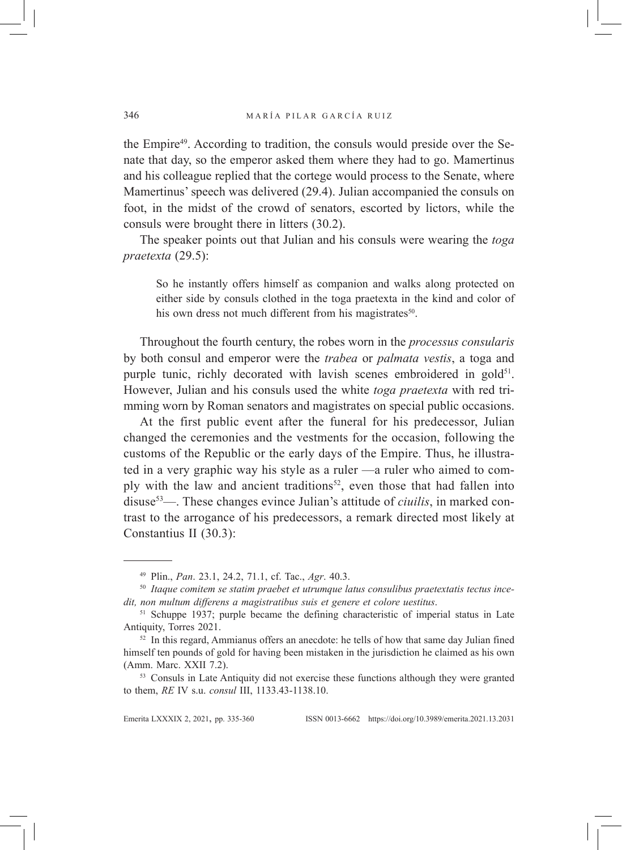the Empire<sup>49</sup>. According to tradition, the consuls would preside over the Senate that day, so the emperor asked them where they had to go. Mamertinus and his colleague replied that the cortege would process to the Senate, where Mamertinus' speech was delivered (29.4). Julian accompanied the consuls on foot, in the midst of the crowd of senators, escorted by lictors, while the consuls were brought there in litters (30.2).

The speaker points out that Julian and his consuls were wearing the *toga praetexta* (29.5):

So he instantly offers himself as companion and walks along protected on either side by consuls clothed in the toga praetexta in the kind and color of his own dress not much different from his magistrates<sup>50</sup>.

Throughout the fourth century, the robes worn in the *processus consularis* by both consul and emperor were the *trabea* or *palmata vestis*, a toga and purple tunic, richly decorated with lavish scenes embroidered in gold $51$ . However, Julian and his consuls used the white *toga praetexta* with red trimming worn by Roman senators and magistrates on special public occasions.

At the first public event after the funeral for his predecessor, Julian changed the ceremonies and the vestments for the occasion, following the customs of the Republic or the early days of the Empire. Thus, he illustrated in a very graphic way his style as a ruler —a ruler who aimed to comply with the law and ancient traditions<sup>52</sup>, even those that had fallen into disuse53—. These changes evince Julian's attitude of *ciuilis*, in marked contrast to the arrogance of his predecessors, a remark directed most likely at Constantius II (30.3):

<sup>49</sup> Plin., *Pan*. 23.1, 24.2, 71.1, cf. Tac., *Agr*. 40.3.

<sup>50</sup> *Itaque comitem se statim praebet et utrumque latus consulibus praetextatis tectus incedit, non multum differens a magistratibus suis et genere et colore uestitus*.

<sup>&</sup>lt;sup>51</sup> Schuppe 1937; purple became the defining characteristic of imperial status in Late Antiquity, Torres 2021.

 $52$  In this regard, Ammianus offers an anecdote: he tells of how that same day Julian fined himself ten pounds of gold for having been mistaken in the jurisdiction he claimed as his own (Amm. Marc. XXII 7.2).

<sup>53</sup> Consuls in Late Antiquity did not exercise these functions although they were granted to them, *RE* IV s.u. *consul* III, 1133.43-1138.10.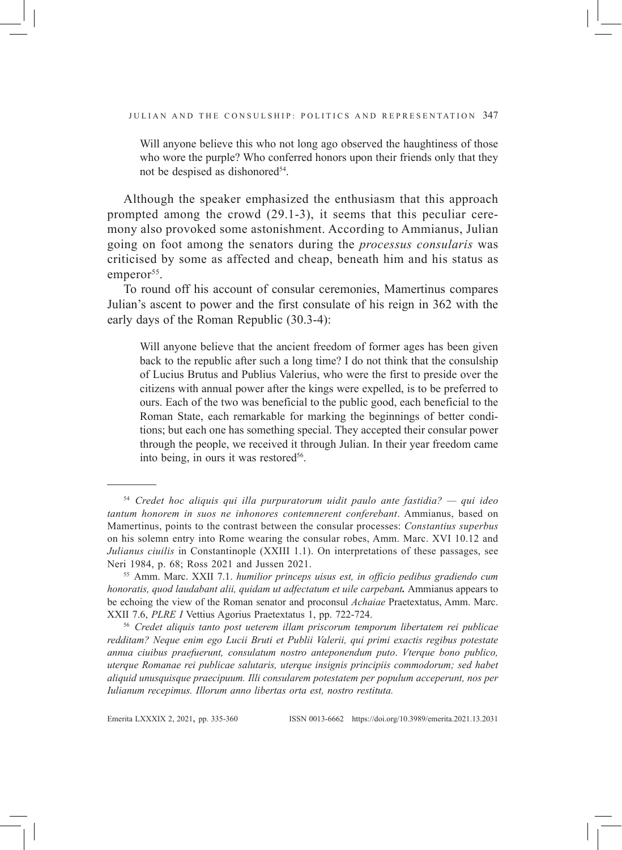Will anyone believe this who not long ago observed the haughtiness of those who wore the purple? Who conferred honors upon their friends only that they not be despised as dishonored<sup>54</sup>.

Although the speaker emphasized the enthusiasm that this approach prompted among the crowd (29.1-3), it seems that this peculiar ceremony also provoked some astonishment. According to Ammianus, Julian going on foot among the senators during the *processus consularis* was criticised by some as affected and cheap, beneath him and his status as emperor<sup>55</sup>.

To round off his account of consular ceremonies, Mamertinus compares Julian's ascent to power and the first consulate of his reign in 362 with the early days of the Roman Republic (30.3-4):

Will anyone believe that the ancient freedom of former ages has been given back to the republic after such a long time? I do not think that the consulship of Lucius Brutus and Publius Valerius, who were the first to preside over the citizens with annual power after the kings were expelled, is to be preferred to ours. Each of the two was beneficial to the public good, each beneficial to the Roman State, each remarkable for marking the beginnings of better conditions; but each one has something special. They accepted their consular power through the people, we received it through Julian. In their year freedom came into being, in ours it was restored<sup>56</sup>.

<sup>56</sup> *Credet aliquis tanto post ueterem illam priscorum temporum libertatem rei publicae redditam? Neque enim ego Lucii Bruti et Publii Valerii, qui primi exactis regibus potestate annua ciuibus praefuerunt, consulatum nostro anteponendum puto*. *Vterque bono publico, uterque Romanae rei publicae salutaris, uterque insignis principiis commodorum; sed habet aliquid unusquisque praecipuum. Illi consularem potestatem per populum acceperunt, nos per Iulianum recepimus. Illorum anno libertas orta est, nostro restituta.* 

Emerita LXXXIx 2, 2021, pp. 335-360 ISSN 0013-6662 https://doi.org/10.3989/emerita.2021.13.2031

<sup>54</sup> *Credet hoc aliquis qui illa purpuratorum uidit paulo ante fastidia? — qui ideo tantum honorem in suos ne inhonores contemnerent conferebant*. Ammianus, based on Mamertinus, points to the contrast between the consular processes: *Constantius superbus* on his solemn entry into Rome wearing the consular robes, Amm. Marc. XVI 10.12 and *Julianus ciuilis* in Constantinople (XXIII 1.1). On interpretations of these passages, see Neri 1984, p. 68; Ross 2021 and Jussen 2021.

<sup>55</sup> Amm. Marc. XXII 7.1. *humilior princeps uisus est, in officio pedibus gradiendo cum honoratis, quod laudabant alii, quidam ut adfectatum et uile carpebant.* Ammianus appears to be echoing the view of the Roman senator and proconsul *Achaiae* Praetextatus, Amm. Marc. XXII 7.6, *PLRE I* Vettius Agorius Praetextatus 1, pp. 722-724.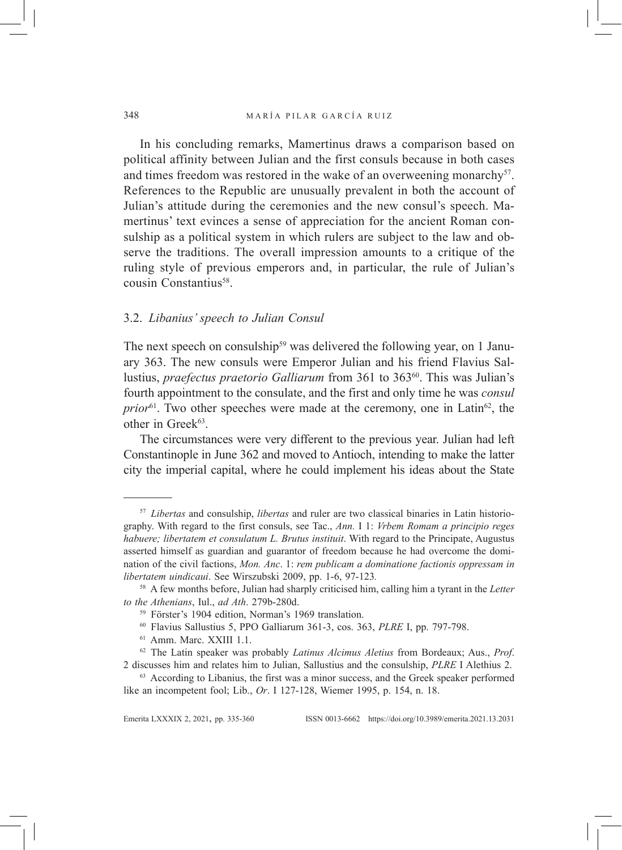In his concluding remarks, Mamertinus draws a comparison based on political affinity between Julian and the first consuls because in both cases and times freedom was restored in the wake of an overweening monarchy $57$ . References to the Republic are unusually prevalent in both the account of Julian's attitude during the ceremonies and the new consul's speech. Mamertinus' text evinces a sense of appreciation for the ancient Roman consulship as a political system in which rulers are subject to the law and observe the traditions. The overall impression amounts to a critique of the ruling style of previous emperors and, in particular, the rule of Julian's cousin Constantius<sup>58</sup>.

### 3.2. *Libanius' speech to Julian Consul*

The next speech on consulship<sup>59</sup> was delivered the following year, on 1 January 363. The new consuls were Emperor Julian and his friend Flavius Sallustius, *praefectus praetorio Galliarum* from 361 to 363<sup>60</sup>. This was Julian's fourth appointment to the consulate, and the first and only time he was *consul prior*<sup>61</sup>. Two other speeches were made at the ceremony, one in Latin<sup>62</sup>, the other in Greek<sup>63</sup>.

The circumstances were very different to the previous year. Julian had left Constantinople in June 362 and moved to Antioch, intending to make the latter city the imperial capital, where he could implement his ideas about the State

<sup>57</sup> *Libertas* and consulship, *libertas* and ruler are two classical binaries in Latin historiography. With regard to the first consuls, see Tac., *Ann.* I 1: *Vrbem Romam a principio reges habuere; libertatem et consulatum L. Brutus instituit*. With regard to the Principate, Augustus asserted himself as guardian and guarantor of freedom because he had overcome the domination of the civil factions, *Mon. Anc*. 1: *rem publicam a dominatione factionis oppressam in libertatem uindicaui*. See Wirszubski 2009, pp. 1-6, 97-123*.*

<sup>58</sup> A few months before, Julian had sharply criticised him, calling him a tyrant in the *Letter to the Athenians*, Iul., *ad Ath*. 279b-280d.

<sup>59</sup> Förster's 1904 edition, Norman's 1969 translation.

<sup>60</sup> Flavius Sallustius 5, PPO Galliarum 361-3, cos. 363, *PLRE* I, pp. 797-798.

<sup>61</sup> Amm. Marc. XXIII 1.1.

<sup>62</sup> The Latin speaker was probably *Latinus Alcimus Aletius* from Bordeaux; Aus., *Prof*. 2 discusses him and relates him to Julian, Sallustius and the consulship, *PLRE* I Alethius 2.

<sup>&</sup>lt;sup>63</sup> According to Libanius, the first was a minor success, and the Greek speaker performed like an incompetent fool; Lib., *Or*. I 127-128, Wiemer 1995, p. 154, n. 18.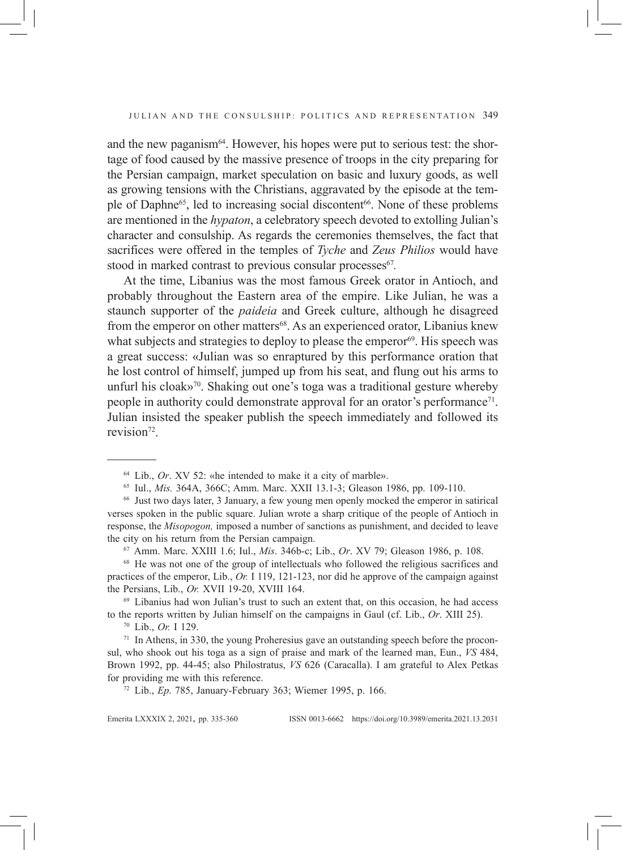and the new paganism $64$ . However, his hopes were put to serious test: the shortage of food caused by the massive presence of troops in the city preparing for the Persian campaign, market speculation on basic and luxury goods, as well as growing tensions with the Christians, aggravated by the episode at the temple of Daphne<sup>65</sup>, led to increasing social discontent<sup>66</sup>. None of these problems are mentioned in the *hypaton*, a celebratory speech devoted to extolling Julian's character and consulship. As regards the ceremonies themselves, the fact that sacrifices were offered in the temples of *Tyche* and *Zeus Philios* would have stood in marked contrast to previous consular processes<sup>67</sup>.

At the time, Libanius was the most famous Greek orator in Antioch, and probably throughout the Eastern area of the empire. Like Julian, he was a staunch supporter of the *paideia* and Greek culture, although he disagreed from the emperor on other matters<sup>68</sup>. As an experienced orator, Libanius knew what subjects and strategies to deploy to please the emperor<sup>69</sup>. His speech was a great success: «Julian was so enraptured by this performance oration that he lost control of himself, jumped up from his seat, and flung out his arms to unfurl his cloak»<sup>70</sup>. Shaking out one's toga was a traditional gesture whereby people in authority could demonstrate approval for an orator's performance<sup>71</sup>. Julian insisted the speaker publish the speech immediately and followed its revision<sup>72</sup>.

<sup>69</sup> Libanius had won Julian's trust to such an extent that, on this occasion, he had access to the reports written by Julian himself on the campaigns in Gaul (cf. Lib., *Or*. XIII 25).

<sup>72</sup> Lib., *Ep*. 785, January-February 363; Wiemer 1995, p. 166.

Emerita LXXXIx 2, 2021, pp. 335-360 ISSN 0013-6662 https://doi.org/10.3989/emerita.2021.13.2031

<sup>64</sup> Lib., *Or*. XV 52: «he intended to make it a city of marble».

<sup>65</sup> Iul., *Mis.* 364A, 366C; Amm. Marc. XXII 13.1-3; Gleason 1986, pp. 109-110.

<sup>66</sup> Just two days later, 3 January, a few young men openly mocked the emperor in satirical verses spoken in the public square. Julian wrote a sharp critique of the people of Antioch in response, the *Misopogon,* imposed a number of sanctions as punishment, and decided to leave the city on his return from the Persian campaign.

<sup>67</sup> Amm. Marc. XXIII 1.6; Iul., *Mis*. 346b-c; Lib., *Or*. XV 79; Gleason 1986, p. 108.

<sup>68</sup> He was not one of the group of intellectuals who followed the religious sacrifices and practices of the emperor, Lib., *Or.* I 119, 121-123, nor did he approve of the campaign against the Persians, Lib., *Or.* XVII 19-20, XVIII 164.

<sup>&</sup>lt;sup>70</sup> Lib., *Or.* I 129.<br><sup>71</sup> In Athens, in 330, the young Proheresius gave an outstanding speech before the proconsul, who shook out his toga as a sign of praise and mark of the learned man, Eun., *VS* 484, Brown 1992, pp. 44-45; also Philostratus, *VS* 626 (Caracalla). I am grateful to Alex Petkas for providing me with this reference.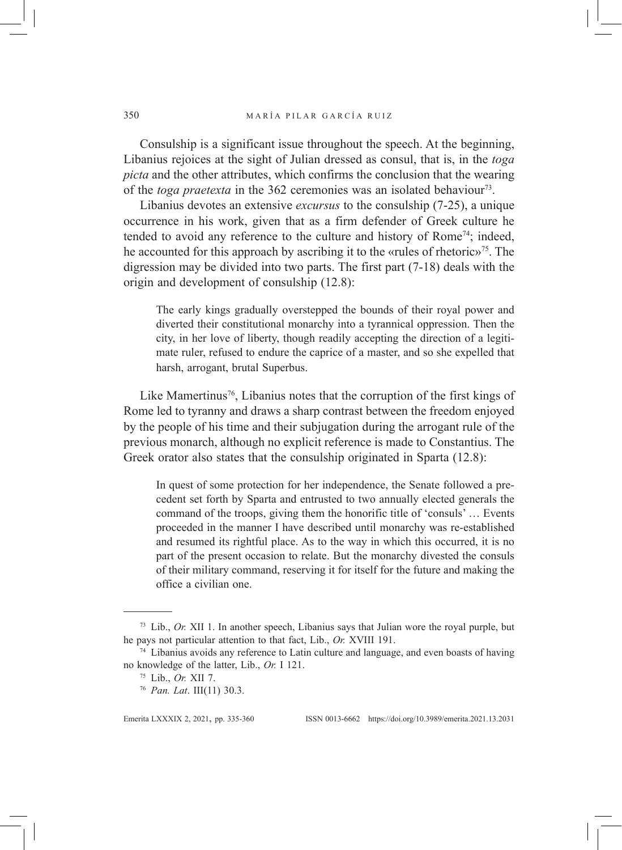Consulship is a significant issue throughout the speech. At the beginning, Libanius rejoices at the sight of Julian dressed as consul, that is, in the *toga picta* and the other attributes, which confirms the conclusion that the wearing of the *toga praetexta* in the 362 ceremonies was an isolated behaviour<sup>73</sup>.

Libanius devotes an extensive *excursus* to the consulship (7-25), a unique occurrence in his work, given that as a firm defender of Greek culture he tended to avoid any reference to the culture and history of Rome74; indeed, he accounted for this approach by ascribing it to the «rules of rhetoric»75. The digression may be divided into two parts. The first part (7-18) deals with the origin and development of consulship (12.8):

The early kings gradually overstepped the bounds of their royal power and diverted their constitutional monarchy into a tyrannical oppression. Then the city, in her love of liberty, though readily accepting the direction of a legitimate ruler, refused to endure the caprice of a master, and so she expelled that harsh, arrogant, brutal Superbus.

Like Mamertinus<sup>76</sup>, Libanius notes that the corruption of the first kings of Rome led to tyranny and draws a sharp contrast between the freedom enjoyed by the people of his time and their subjugation during the arrogant rule of the previous monarch, although no explicit reference is made to Constantius. The Greek orator also states that the consulship originated in Sparta (12.8):

In quest of some protection for her independence, the Senate followed a precedent set forth by Sparta and entrusted to two annually elected generals the command of the troops, giving them the honorific title of 'consuls' … Events proceeded in the manner I have described until monarchy was re-established and resumed its rightful place. As to the way in which this occurred, it is no part of the present occasion to relate. But the monarchy divested the consuls of their military command, reserving it for itself for the future and making the office a civilian one.

<sup>73</sup> Lib., *Or.* XII 1. In another speech, Libanius says that Julian wore the royal purple, but he pays not particular attention to that fact, Lib., *Or.* XVIII 191.

 $74$  Libanius avoids any reference to Latin culture and language, and even boasts of having no knowledge of the latter, Lib., *Or.* I 121.

<sup>75</sup> Lib., *Or.* XII 7.

<sup>76</sup> *Pan. Lat*. III(11) 30.3.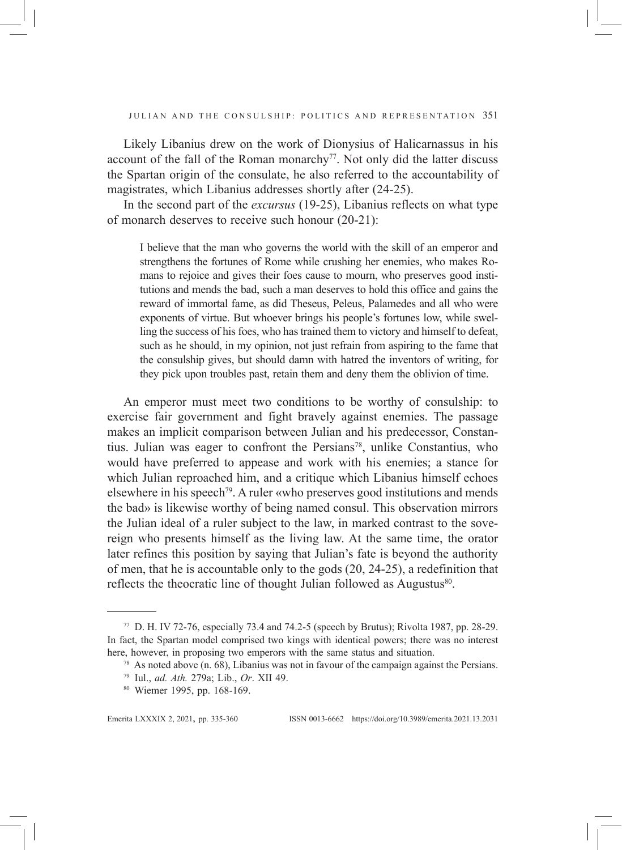Likely Libanius drew on the work of Dionysius of Halicarnassus in his account of the fall of the Roman monarchy<sup>77</sup>. Not only did the latter discuss the Spartan origin of the consulate, he also referred to the accountability of magistrates, which Libanius addresses shortly after (24-25).

In the second part of the *excursus* (19-25), Libanius reflects on what type of monarch deserves to receive such honour (20-21):

I believe that the man who governs the world with the skill of an emperor and strengthens the fortunes of Rome while crushing her enemies, who makes Romans to rejoice and gives their foes cause to mourn, who preserves good institutions and mends the bad, such a man deserves to hold this office and gains the reward of immortal fame, as did Theseus, Peleus, Palamedes and all who were exponents of virtue. But whoever brings his people's fortunes low, while swelling the success of his foes, who has trained them to victory and himself to defeat, such as he should, in my opinion, not just refrain from aspiring to the fame that the consulship gives, but should damn with hatred the inventors of writing, for they pick upon troubles past, retain them and deny them the oblivion of time.

An emperor must meet two conditions to be worthy of consulship: to exercise fair government and fight bravely against enemies. The passage makes an implicit comparison between Julian and his predecessor, Constantius. Julian was eager to confront the Persians78, unlike Constantius, who would have preferred to appease and work with his enemies; a stance for which Julian reproached him, and a critique which Libanius himself echoes elsewhere in his speech<sup>79</sup>. A ruler «who preserves good institutions and mends the bad» is likewise worthy of being named consul. This observation mirrors the Julian ideal of a ruler subject to the law, in marked contrast to the sovereign who presents himself as the living law. At the same time, the orator later refines this position by saying that Julian's fate is beyond the authority of men, that he is accountable only to the gods (20, 24-25), a redefinition that reflects the theocratic line of thought Julian followed as Augustus<sup>80</sup>.

<sup>77</sup> D. H. IV 72-76, especially 73.4 and 74.2-5 (speech by Brutus); Rivolta 1987, pp. 28-29. In fact, the Spartan model comprised two kings with identical powers; there was no interest here, however, in proposing two emperors with the same status and situation.

<sup>78</sup> As noted above (n. 68), Libanius was not in favour of the campaign against the Persians.

<sup>79</sup> Iul., *ad. Ath.* 279a; Lib., *Or*. XII 49.

<sup>80</sup> Wiemer 1995, pp. 168-169.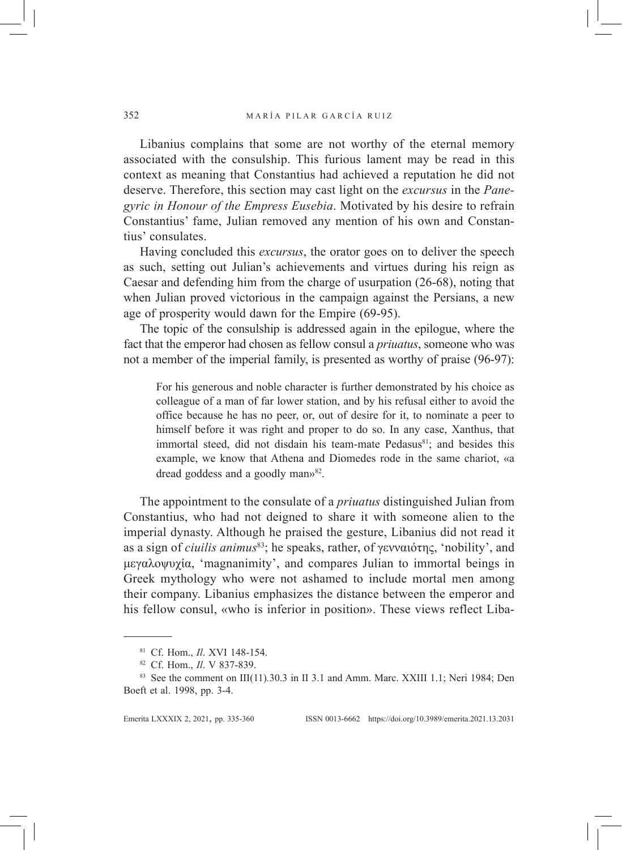Libanius complains that some are not worthy of the eternal memory associated with the consulship. This furious lament may be read in this context as meaning that Constantius had achieved a reputation he did not deserve. Therefore, this section may cast light on the *excursus* in the *Panegyric in Honour of the Empress Eusebia*. Motivated by his desire to refrain Constantius' fame, Julian removed any mention of his own and Constantius' consulates.

Having concluded this *excursus*, the orator goes on to deliver the speech as such, setting out Julian's achievements and virtues during his reign as Caesar and defending him from the charge of usurpation (26-68), noting that when Julian proved victorious in the campaign against the Persians, a new age of prosperity would dawn for the Empire (69-95).

The topic of the consulship is addressed again in the epilogue, where the fact that the emperor had chosen as fellow consul a *priuatus*, someone who was not a member of the imperial family, is presented as worthy of praise (96-97):

For his generous and noble character is further demonstrated by his choice as colleague of a man of far lower station, and by his refusal either to avoid the office because he has no peer, or, out of desire for it, to nominate a peer to himself before it was right and proper to do so. In any case, Xanthus, that immortal steed, did not disdain his team-mate Pedasus<sup>81</sup>; and besides this example, we know that Athena and Diomedes rode in the same chariot, «a dread goddess and a goodly man»82.

The appointment to the consulate of a *priuatus* distinguished Julian from Constantius, who had not deigned to share it with someone alien to the imperial dynasty. Although he praised the gesture, Libanius did not read it as a sign of *ciuilis animus*<sup>83</sup>; he speaks, rather, of γενναιότης, 'nobility', and μεγαλοψυχία, 'magnanimity', and compares Julian to immortal beings in Greek mythology who were not ashamed to include mortal men among their company. Libanius emphasizes the distance between the emperor and his fellow consul, «who is inferior in position». These views reflect Liba-

<sup>81</sup> Cf. Hom., *Il*. XVI 148-154.

<sup>82</sup> Cf. Hom., *Il*. V 837-839.

<sup>83</sup> See the comment on III(11)*.*30.3 in II 3.1 and Amm. Marc. XXIII 1.1; Neri 1984; Den Boeft et al. 1998, pp. 3-4.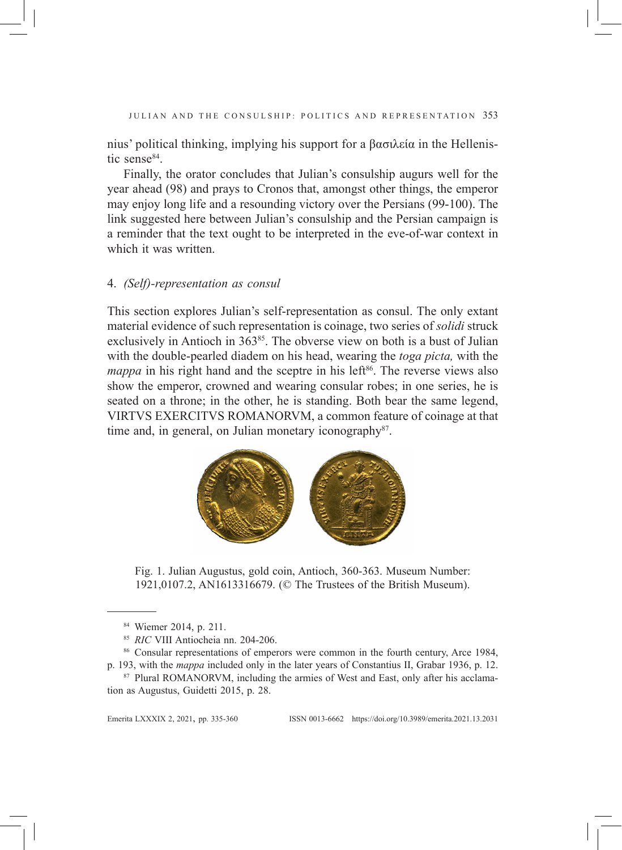nius' political thinking, implying his support for a βασιλεία in the Hellenistic sense<sup>84</sup>.

Finally, the orator concludes that Julian's consulship augurs well for the year ahead (98) and prays to Cronos that, amongst other things, the emperor may enjoy long life and a resounding victory over the Persians (99-100). The link suggested here between Julian's consulship and the Persian campaign is a reminder that the text ought to be interpreted in the eve-of-war context in which it was written.

## 4. *(Self)-representation as consul*

This section explores Julian's self-representation as consul. The only extant material evidence of such representation is coinage, two series of *solidi* struck exclusively in Antioch in  $363^{85}$ . The obverse view on both is a bust of Julian with the double-pearled diadem on his head, wearing the *toga picta,* with the *mappa* in his right hand and the sceptre in his left<sup>86</sup>. The reverse views also show the emperor, crowned and wearing consular robes; in one series, he is seated on a throne; in the other, he is standing. Both bear the same legend, VIRTVS EXERCITVS ROMANORVM, a common feature of coinage at that time and, in general, on Julian monetary iconography<sup>87</sup>.



Fig. 1. Julian Augustus, gold coin, Antioch, 360-363. Museum Number: 1921,0107.2, AN1613316679. (© The Trustees of the British Museum).

<sup>84</sup> Wiemer 2014, p. 211.

<sup>85</sup> *RIC* VIII Antiocheia nn. 204-206.

<sup>86</sup> Consular representations of emperors were common in the fourth century, Arce 1984, p. 193, with the *mappa* included only in the later years of Constantius II, Grabar 1936, p. 12.

<sup>87</sup> Plural ROMANORVM, including the armies of West and East, only after his acclamation as Augustus, Guidetti 2015, p. 28.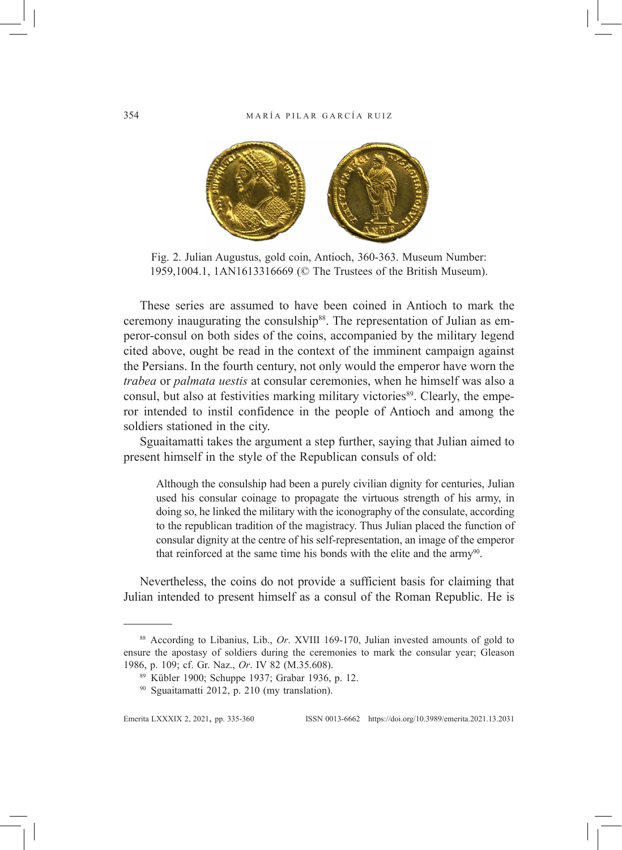

Fig. 2. Julian Augustus, gold coin, Antioch, 360-363. Museum Number: 1959,1004.1, 1AN1613316669 (© The Trustees of the British Museum).

These series are assumed to have been coined in Antioch to mark the ceremony inaugurating the consulship<sup>88</sup>. The representation of Julian as emperor-consul on both sides of the coins, accompanied by the military legend cited above, ought be read in the context of the imminent campaign against the Persians. In the fourth century, not only would the emperor have worn the *trabea* or *palmata uestis* at consular ceremonies, when he himself was also a consul, but also at festivities marking military victories<sup>89</sup>. Clearly, the emperor intended to instil confidence in the people of Antioch and among the soldiers stationed in the city.

Sguaitamatti takes the argument a step further, saying that Julian aimed to present himself in the style of the Republican consuls of old:

Although the consulship had been a purely civilian dignity for centuries, Julian used his consular coinage to propagate the virtuous strength of his army, in doing so, he linked the military with the iconography of the consulate, according to the republican tradition of the magistracy. Thus Julian placed the function of consular dignity at the centre of his self-representation, an image of the emperor that reinforced at the same time his bonds with the elite and the army<sup>90</sup>.

Nevertheless, the coins do not provide a sufficient basis for claiming that Julian intended to present himself as a consul of the Roman Republic. He is

<sup>88</sup> According to Libanius, Lib., *Or*. XVIII 169-170, Julian invested amounts of gold to ensure the apostasy of soldiers during the ceremonies to mark the consular year; Gleason 1986, p. 109; cf. Gr. Naz., *Or*. IV 82 (M.35.608).

<sup>&</sup>lt;sup>89</sup> Kübler 1900; Schuppe 1937; Grabar 1936, p. 12.<br><sup>90</sup> Sguaitamatti 2012, p. 210 (my translation).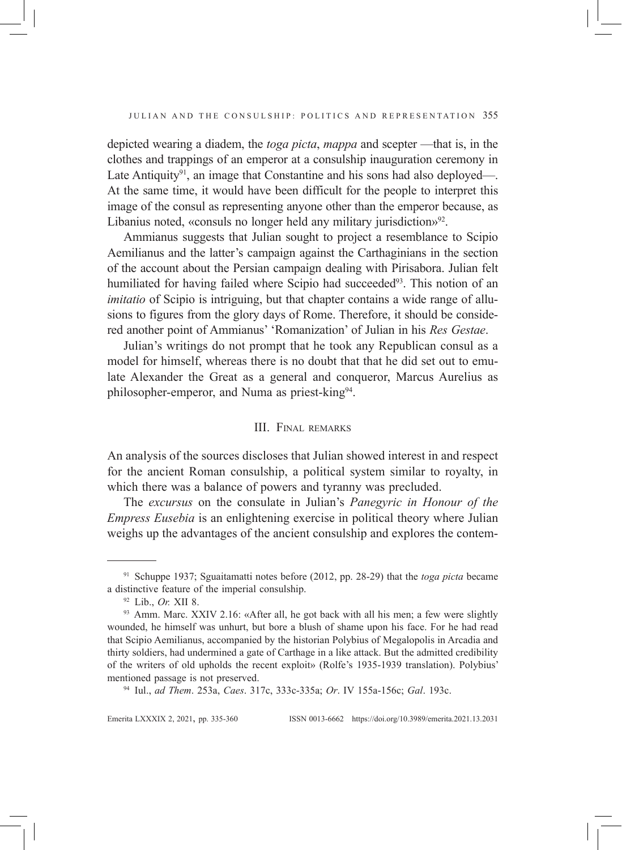depicted wearing a diadem, the *toga picta*, *mappa* and scepter —that is, in the clothes and trappings of an emperor at a consulship inauguration ceremony in Late Antiquity $91$ , an image that Constantine and his sons had also deployed—. At the same time, it would have been difficult for the people to interpret this image of the consul as representing anyone other than the emperor because, as Libanius noted, «consuls no longer held any military jurisdiction»<sup>92</sup>.

Ammianus suggests that Julian sought to project a resemblance to Scipio Aemilianus and the latter's campaign against the Carthaginians in the section of the account about the Persian campaign dealing with Pirisabora. Julian felt humiliated for having failed where Scipio had succeeded<sup>93</sup>. This notion of an *imitatio* of Scipio is intriguing, but that chapter contains a wide range of allusions to figures from the glory days of Rome. Therefore, it should be considered another point of Ammianus' 'Romanization' of Julian in his *Res Gestae*.

Julian's writings do not prompt that he took any Republican consul as a model for himself, whereas there is no doubt that that he did set out to emulate Alexander the Great as a general and conqueror, Marcus Aurelius as philosopher-emperor, and Numa as priest-king94.

### III. Final remarks

An analysis of the sources discloses that Julian showed interest in and respect for the ancient Roman consulship, a political system similar to royalty, in which there was a balance of powers and tyranny was precluded.

The *excursus* on the consulate in Julian's *Panegyric in Honour of the Empress Eusebia* is an enlightening exercise in political theory where Julian weighs up the advantages of the ancient consulship and explores the contem-

<sup>91</sup> Schuppe 1937; Sguaitamatti notes before (2012, pp. 28-29) that the *toga picta* became a distinctive feature of the imperial consulship.

<sup>92</sup> Lib., *Or.* XII 8.

<sup>93</sup> Amm. Marc. XXIV 2.16: «After all, he got back with all his men; a few were slightly wounded, he himself was unhurt, but bore a blush of shame upon his face. For he had read that Scipio Aemilianus, accompanied by the historian Polybius of Megalopolis in Arcadia and thirty soldiers, had undermined a gate of Carthage in a like attack. But the admitted credibility of the writers of old upholds the recent exploit» (Rolfe's 1935-1939 translation). Polybius' mentioned passage is not preserved.

<sup>94</sup> Iul., *ad Them*. 253a, *Caes*. 317c, 333c-335a; *Or*. IV 155a-156c; *Gal*. 193c.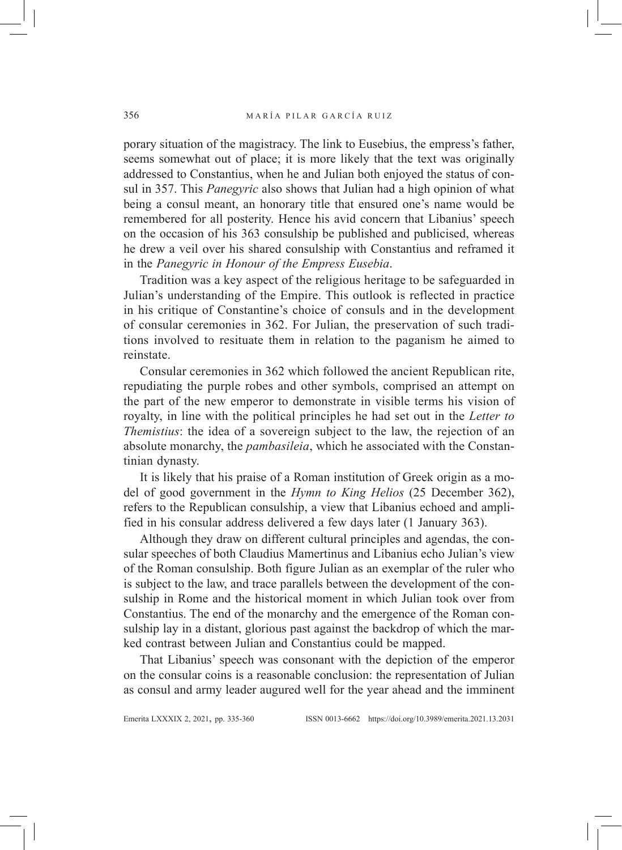porary situation of the magistracy. The link to Eusebius, the empress's father, seems somewhat out of place; it is more likely that the text was originally addressed to Constantius, when he and Julian both enjoyed the status of consul in 357. This *Panegyric* also shows that Julian had a high opinion of what being a consul meant, an honorary title that ensured one's name would be remembered for all posterity. Hence his avid concern that Libanius' speech on the occasion of his 363 consulship be published and publicised, whereas he drew a veil over his shared consulship with Constantius and reframed it in the *Panegyric in Honour of the Empress Eusebia*.

Tradition was a key aspect of the religious heritage to be safeguarded in Julian's understanding of the Empire. This outlook is reflected in practice in his critique of Constantine's choice of consuls and in the development of consular ceremonies in 362. For Julian, the preservation of such traditions involved to resituate them in relation to the paganism he aimed to reinstate.

Consular ceremonies in 362 which followed the ancient Republican rite, repudiating the purple robes and other symbols, comprised an attempt on the part of the new emperor to demonstrate in visible terms his vision of royalty, in line with the political principles he had set out in the *Letter to Themistius*: the idea of a sovereign subject to the law, the rejection of an absolute monarchy, the *pambasileia*, which he associated with the Constantinian dynasty.

It is likely that his praise of a Roman institution of Greek origin as a model of good government in the *Hymn to King Helios* (25 December 362), refers to the Republican consulship, a view that Libanius echoed and amplified in his consular address delivered a few days later (1 January 363).

Although they draw on different cultural principles and agendas, the consular speeches of both Claudius Mamertinus and Libanius echo Julian's view of the Roman consulship. Both figure Julian as an exemplar of the ruler who is subject to the law, and trace parallels between the development of the consulship in Rome and the historical moment in which Julian took over from Constantius. The end of the monarchy and the emergence of the Roman consulship lay in a distant, glorious past against the backdrop of which the marked contrast between Julian and Constantius could be mapped.

That Libanius' speech was consonant with the depiction of the emperor on the consular coins is a reasonable conclusion: the representation of Julian as consul and army leader augured well for the year ahead and the imminent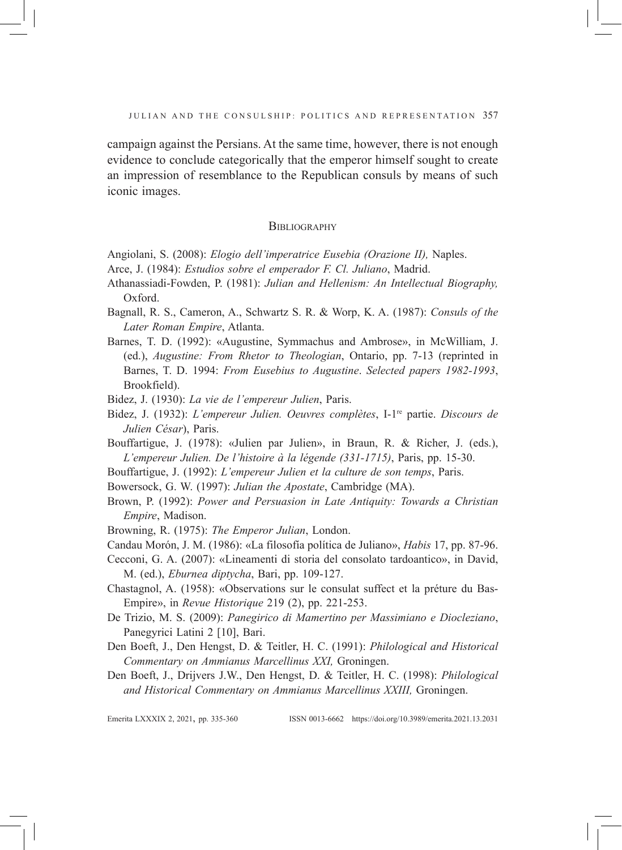campaign against the Persians. At the same time, however, there is not enough evidence to conclude categorically that the emperor himself sought to create an impression of resemblance to the Republican consuls by means of such iconic images.

### **BIBLIOGRAPHY**

- Angiolani, S. (2008): *Elogio dell'imperatrice Eusebia (Orazione II),* Naples.
- Arce, J. (1984): *Estudios sobre el emperador F. Cl. Juliano*, Madrid.
- Athanassiadi-Fowden, P. (1981): *Julian and Hellenism: An Intellectual Biography,* Oxford.
- Bagnall, R. S., Cameron, A., Schwartz S. R. & Worp, K. A. (1987): *Consuls of the Later Roman Empire*, Atlanta.
- Barnes, T. D. (1992): «Augustine, Symmachus and Ambrose», in McWilliam, J. (ed.), *Augustine: From Rhetor to Theologian*, Ontario, pp. 7-13 (reprinted in Barnes, T. D. 1994: *From Eusebius to Augustine*. *Selected papers 1982-1993*, Brookfield).
- Bidez, J. (1930): *La vie de l'empereur Julien*, Paris.
- Bidez, J. (1932): *L'empereur Julien. Oeuvres complètes*, I-1re partie. *Discours de Julien César*), Paris.
- Bouffartigue, J. (1978): «Julien par Julien», in Braun, R. & Richer, J. (eds.), *L'empereur Julien. De l'histoire à la légende (331-1715)*, Paris, pp. 15-30.
- Bouffartigue, J. (1992): *L'empereur Julien et la culture de son temps*, Paris.
- Bowersock, G. W. (1997): *Julian the Apostate*, Cambridge (MA).
- Brown, P. (1992): *Power and Persuasion in Late Antiquity: Towards a Christian Empire*, Madison.
- Browning, R. (1975): *The Emperor Julian*, London.
- Candau Morón, J. M. (1986): «La filosofía política de Juliano», *Habis* 17, pp. 87-96.
- Cecconi, G. A. (2007): «Lineamenti di storia del consolato tardoantico», in David, M. (ed.), *Eburnea diptycha*, Bari, pp. 109-127.
- Chastagnol, A. (1958): «Observations sur le consulat suffect et la préture du Bas-Empire», in *Revue Historique* 219 (2), pp. 221-253.
- De Trizio, M. S. (2009): *Panegirico di Mamertino per Massimiano e Diocleziano*, Panegyrici Latini 2 [10], Bari.
- Den Boeft, J., Den Hengst, D. & Teitler, H. C. (1991): *Philological and Historical Commentary on Ammianus Marcellinus XXI,* Groningen.
- Den Boeft, J., Drijvers J.W., Den Hengst, D. & Teitler, H. C. (1998): *Philological and Historical Commentary on Ammianus Marcellinus XXIII,* Groningen.

Emerita LXXXIx 2, 2021, pp. 335-360 ISSN 0013-6662 https://doi.org/10.3989/emerita.2021.13.2031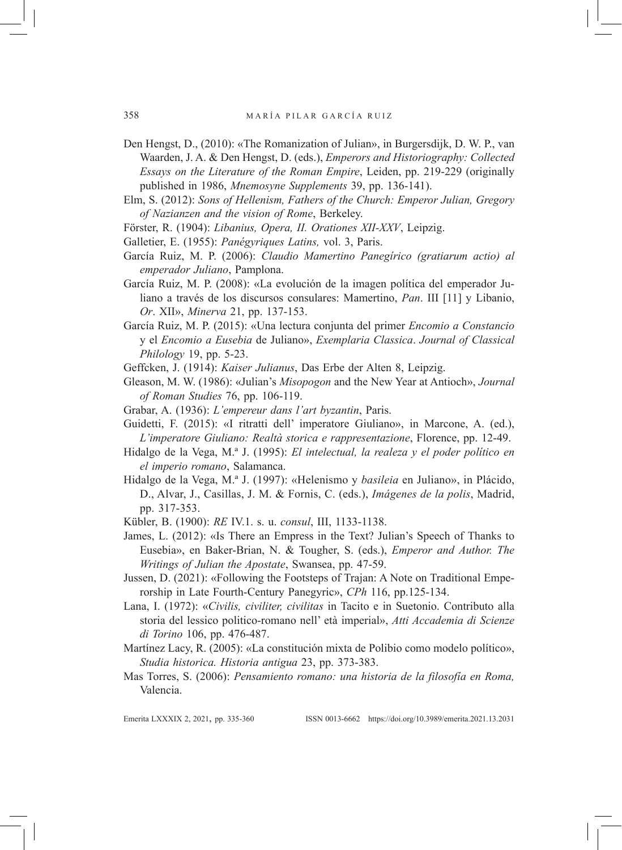- Den Hengst, D., (2010): «The Romanization of Julian», in Burgersdijk, D. W. P., van Waarden, J. A. & Den Hengst, D. (eds.), *Emperors and Historiography: Collected Essays on the Literature of the Roman Empire*, Leiden, pp. 219-229 (originally published in 1986, *Mnemosyne Supplements* 39, pp. 136-141).
- Elm, S. (2012): *Sons of Hellenism, Fathers of the Church: Emperor Julian, Gregory of Nazianzen and the vision of Rome*, Berkeley.
- Förster, R. (1904): *Libanius, Opera, II. Orationes XII-XXV*, Leipzig.
- Galletier, E. (1955): *Panégyriques Latins,* vol. 3, Paris.
- García Ruiz, M. P. (2006): *Claudio Mamertino Panegírico (gratiarum actio) al emperador Juliano*, Pamplona.
- García Ruiz, M. P. (2008): «La evolución de la imagen política del emperador Juliano a través de los discursos consulares: Mamertino, *Pan*. III [11] y Libanio, *Or*. XII», *Minerva* 21, pp. 137-153.
- García Ruiz, M. P. (2015): «Una lectura conjunta del primer *Encomio a Constancio* y el *Encomio a Eusebia* de Juliano», *Exemplaria Classica*. *Journal of Classical Philology* 19, pp. 5-23.

Geffcken, J. (1914): *Kaiser Julianus*, Das Erbe der Alten 8, Leipzig.

- Gleason, M. W. (1986): «Julian's *Misopogon* and the New Year at Antioch», *Journal of Roman Studies* 76, pp. 106-119.
- Grabar, A. (1936): *L'empereur dans l'art byzantin*, Paris.
- Guidetti, F. (2015): «I ritratti dell' imperatore Giuliano», in Marcone, A. (ed.), *L'imperatore Giuliano: Realtà storica e rappresentazione*, Florence, pp. 12-49.
- Hidalgo de la Vega, M.ª J. (1995): *El intelectual, la realeza y el poder político en el imperio romano*, Salamanca.
- Hidalgo de la Vega, M.ª J. (1997): «Helenismo y *basileia* en Juliano», in Plácido, D., Alvar, J., Casillas, J. M. & Fornis, C. (eds.), *Imágenes de la polis*, Madrid, pp. 317-353.
- Kübler, B. (1900): *RE* IV.1. s. u. *consul*, III, 1133-1138.
- James, L. (2012): «Is There an Empress in the Text? Julian's Speech of Thanks to Eusebia», en Baker-Brian, N. & Tougher, S. (eds.), *Emperor and Author. The Writings of Julian the Apostate*, Swansea, pp. 47-59.
- Jussen, D. (2021): «Following the Footsteps of Trajan: A Note on Traditional Emperorship in Late Fourth-Century Panegyric», *CPh* 116, pp.125-134.
- Lana, I. (1972): «*Civilis, civiliter, civilitas* in Tacito e in Suetonio. Contributo alla storia del lessico politico-romano nell' età imperial», *Atti Accademia di Scienze di Torino* 106, pp. 476-487.
- Martínez Lacy, R. (2005): «La constitución mixta de Polibio como modelo político», *Studia historica. Historia antigua* 23, pp. 373-383.
- Mas Torres, S. (2006): *Pensamiento romano: una historia de la filosofía en Roma,*  Valencia.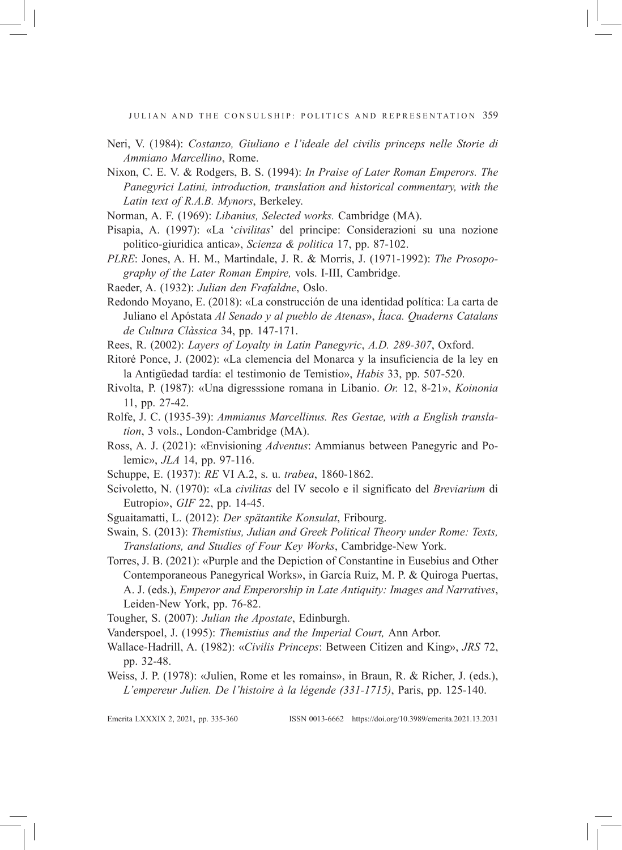JULIAN AND THE CONSULSHIP: POLITICS AND REPRESENTATION 359

- Neri, V. (1984): *Costanzo, Giuliano e l'ideale del civilis princeps nelle Storie di Ammiano Marcellino*, Rome.
- Nixon, C. E. V. & Rodgers, B. S. (1994): *In Praise of Later Roman Emperors. The Panegyrici Latini, introduction, translation and historical commentary, with the Latin text of R.A.B. Mynors*, Berkeley.
- Norman, A. F. (1969): *Libanius, Selected works.* Cambridge (MA).
- Pisapia, A. (1997): «La '*civilitas*' del principe: Considerazioni su una nozione politico-giuridica antica», *Scienza & politica* 17, pp. 87-102.
- *PLRE*: Jones, A. H. M., Martindale, J. R. & Morris, J. (1971-1992): *The Prosopography of the Later Roman Empire,* vols. I-III, Cambridge.
- Raeder, A. (1932): *Julian den Frafaldne*, Oslo.
- Redondo Moyano, E. (2018): «La construcción de una identidad política: La carta de Juliano el Apóstata *Al Senado y al pueblo de Atenas*», *Ítaca. Quaderns Catalans de Cultura Clàssica* 34, pp. 147-171.
- Rees, R. (2002): *Layers of Loyalty in Latin Panegyric*, *A.D. 289-307*, Oxford.
- Ritoré Ponce, J. (2002): «La clemencia del Monarca y la insuficiencia de la ley en la Antigüedad tardía: el testimonio de Temistio», *Habis* 33, pp. 507-520.
- Rivolta, P. (1987): «Una digresssione romana in Libanio. *Or.* 12, 8-21», *Koinonia* 11, pp. 27-42.
- Rolfe, J. C. (1935-39): *Ammianus Marcellinus. Res Gestae, with a English translation*, 3 vols., London-Cambridge (MA).
- Ross, A. J. (2021): «Envisioning *Adventus*: Ammianus between Panegyric and Polemic», *JLA* 14, pp. 97-116.
- Schuppe, E. (1937): *RE* VI A.2, s. u. *trabea*, 1860-1862.
- Scivoletto, N. (1970): «La *civilitas* del IV secolo e il significato del *Breviarium* di Eutropio», *GIF* 22, pp. 14-45.
- Sguaitamatti, L. (2012): *Der spätantike Konsulat*, Fribourg.
- Swain, S. (2013): *Themistius, Julian and Greek Political Theory under Rome: Texts, Translations, and Studies of Four Key Works*, Cambridge-New York.
- Torres, J. B. (2021): «Purple and the Depiction of Constantine in Eusebius and Other Contemporaneous Panegyrical Works», in García Ruiz, M. P. & Quiroga Puertas, A. J. (eds.), *Emperor and Emperorship in Late Antiquity: Images and Narratives*, Leiden-New York, pp. 76-82.
- Tougher, S. (2007): *Julian the Apostate*, Edinburgh.
- Vanderspoel, J. (1995): *Themistius and the Imperial Court,* Ann Arbor.
- Wallace-Hadrill, A. (1982): «*Civilis Princeps*: Between Citizen and King», *JRS* 72, pp. 32-48.
- Weiss, J. P. (1978): «Julien, Rome et les romains», in Braun, R. & Richer, J. (eds.), *L'empereur Julien. De l'histoire à la légende (331-1715)*, Paris, pp. 125-140.

Emerita LXXXIx 2, 2021, pp. 335-360 ISSN 0013-6662 https://doi.org/10.3989/emerita.2021.13.2031